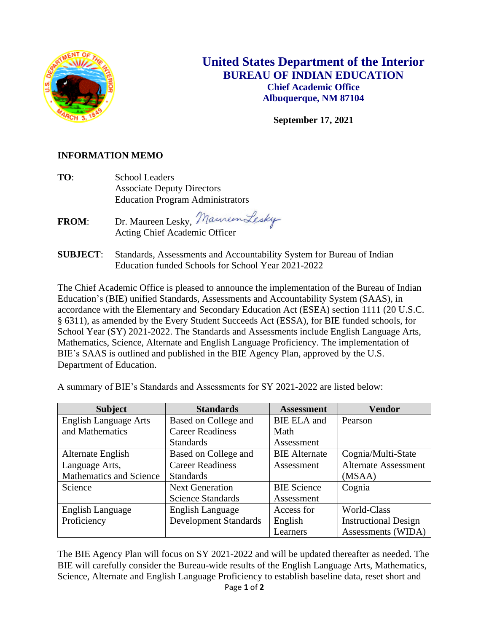

## **United States Department of the Interior BUREAU OF INDIAN EDUCATION Chief Academic Office Albuquerque, NM 87104**

**September 17, 2021**

## **INFORMATION MEMO**

**TO**: School Leaders Associate Deputy Directors Education Program Administrators

FROM: Dr. Maureen Lesky, Maureen Lesky Acting Chief Academic Officer

**SUBJECT**: Standards, Assessments and Accountability System for Bureau of Indian Education funded Schools for School Year 2021-2022

The Chief Academic Office is pleased to announce the implementation of the Bureau of Indian Education's (BIE) unified Standards, Assessments and Accountability System (SAAS), in accordance with the Elementary and Secondary Education Act (ESEA) section 1111 (20 U.S.C. § 6311), as amended by the Every Student Succeeds Act (ESSA), for BIE funded schools, for School Year (SY) 2021-2022. The Standards and Assessments include English Language Arts, Mathematics, Science, Alternate and English Language Proficiency. The implementation of BIE's SAAS is outlined and published in the BIE Agency Plan, approved by the U.S. Department of Education.

| <b>Subject</b>                 | <b>Standards</b>             | <b>Assessment</b>    | <b>Vendor</b>               |
|--------------------------------|------------------------------|----------------------|-----------------------------|
| <b>English Language Arts</b>   | Based on College and         | <b>BIE ELA</b> and   | Pearson                     |
| and Mathematics                | <b>Career Readiness</b>      | Math                 |                             |
|                                | <b>Standards</b>             | Assessment           |                             |
| Alternate English              | Based on College and         | <b>BIE</b> Alternate | Cognia/Multi-State          |
| Language Arts,                 | <b>Career Readiness</b>      | Assessment           | <b>Alternate Assessment</b> |
| <b>Mathematics and Science</b> | <b>Standards</b>             |                      | (MSAA)                      |
| Science                        | <b>Next Generation</b>       | <b>BIE</b> Science   | Cognia                      |
|                                | Science Standards            | Assessment           |                             |
| <b>English Language</b>        | <b>English Language</b>      | Access for           | World-Class                 |
| Proficiency                    | <b>Development Standards</b> | English              | <b>Instructional Design</b> |
|                                |                              | Learners             | Assessments (WIDA)          |

A summary of BIE's Standards and Assessments for SY 2021-2022 are listed below:

The BIE Agency Plan will focus on SY 2021-2022 and will be updated thereafter as needed. The BIE will carefully consider the Bureau-wide results of the English Language Arts, Mathematics, Science, Alternate and English Language Proficiency to establish baseline data, reset short and